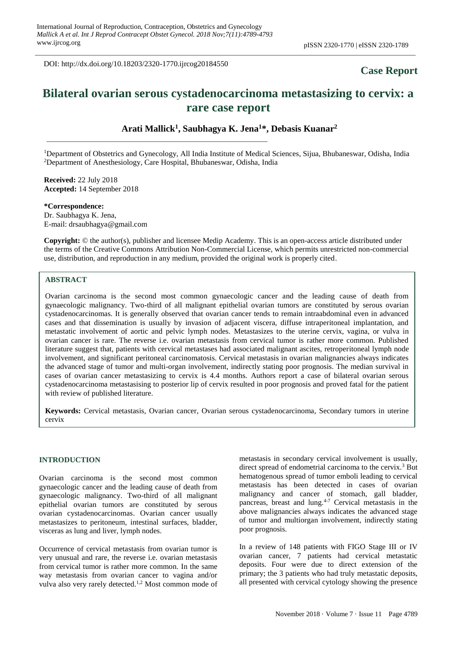DOI: http://dx.doi.org/10.18203/2320-1770.ijrcog20184550

# **Case Report**

# **Bilateral ovarian serous cystadenocarcinoma metastasizing to cervix: a rare case report**

**Arati Mallick<sup>1</sup> , Saubhagya K. Jena<sup>1</sup>\*, Debasis Kuanar<sup>2</sup>**

<sup>1</sup>Department of Obstetrics and Gynecology, All India Institute of Medical Sciences, Sijua, Bhubaneswar, Odisha, India <sup>2</sup>Department of Anesthesiology, Care Hospital, Bhubaneswar, Odisha, India

**Received:** 22 July 2018 **Accepted:** 14 September 2018

**\*Correspondence:** Dr. Saubhagya K. Jena, E-mail: drsaubhagya@gmail.com

**Copyright:** © the author(s), publisher and licensee Medip Academy. This is an open-access article distributed under the terms of the Creative Commons Attribution Non-Commercial License, which permits unrestricted non-commercial use, distribution, and reproduction in any medium, provided the original work is properly cited.

#### **ABSTRACT**

Ovarian carcinoma is the second most common gynaecologic cancer and the leading cause of death from gynaecologic malignancy. Two-third of all malignant epithelial ovarian tumors are constituted by serous ovarian cystadenocarcinomas. It is generally observed that ovarian cancer tends to remain intraabdominal even in advanced cases and that dissemination is usually by invasion of adjacent viscera, diffuse intraperitoneal implantation, and metastatic involvement of aortic and pelvic lymph nodes. Metastasizes to the uterine cervix, vagina, or vulva in ovarian cancer is rare. The reverse i.e. ovarian metastasis from cervical tumor is rather more common. Published literature suggest that, patients with cervical metastases had associated malignant ascites, retroperitoneal lymph node involvement, and significant peritoneal carcinomatosis. Cervical metastasis in ovarian malignancies always indicates the advanced stage of tumor and multi-organ involvement, indirectly stating poor prognosis. The median survival in cases of ovarian cancer metastasizing to cervix is 4.4 months. Authors report a case of bilateral ovarian serous cystadenocarcinoma metastasising to posterior lip of cervix resulted in poor prognosis and proved fatal for the patient with review of published literature.

**Keywords:** Cervical metastasis, Ovarian cancer, Ovarian serous cystadenocarcinoma, Secondary tumors in uterine cervix

#### **INTRODUCTION**

Ovarian carcinoma is the second most common gynaecologic cancer and the leading cause of death from gynaecologic malignancy. Two-third of all malignant epithelial ovarian tumors are constituted by serous ovarian cystadenocarcinomas. Ovarian cancer usually metastasizes to peritoneum, intestinal surfaces, bladder, visceras as lung and liver, lymph nodes.

Occurrence of cervical metastasis from ovarian tumor is very unusual and rare, the reverse i.e. ovarian metastasis from cervical tumor is rather more common. In the same way metastasis from ovarian cancer to vagina and/or vulva also very rarely detected.<sup>1,2</sup> Most common mode of metastasis in secondary cervical involvement is usually, direct spread of endometrial carcinoma to the cervix.<sup>3</sup> But hematogenous spread of tumor emboli leading to cervical metastasis has been detected in cases of ovarian malignancy and cancer of stomach, gall bladder, pancreas, breast and lung.4-7 Cervical metastasis in the above malignancies always indicates the advanced stage of tumor and multiorgan involvement, indirectly stating poor prognosis.

In a review of 148 patients with FIGO Stage III or IV ovarian cancer, 7 patients had cervical metastatic deposits. Four were due to direct extension of the primary; the 3 patients who had truly metastatic deposits, all presented with cervical cytology showing the presence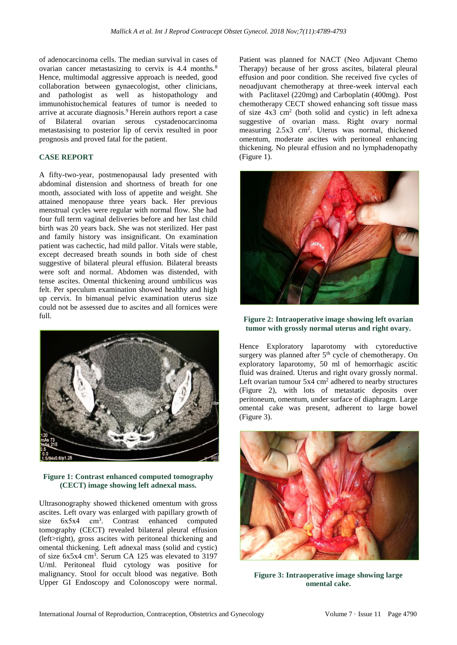of adenocarcinoma cells. The median survival in cases of ovarian cancer metastasizing to cervix is 4.4 months.<sup>8</sup> Hence, multimodal aggressive approach is needed, good collaboration between gynaecologist, other clinicians, and pathologist as well as histopathology and immunohistochemical features of tumor is needed to arrive at accurate diagnosis.<sup>9</sup> Herein authors report a case of Bilateral ovarian serous cystadenocarcinoma metastasising to posterior lip of cervix resulted in poor prognosis and proved fatal for the patient.

#### **CASE REPORT**

A fifty-two-year, postmenopausal lady presented with abdominal distension and shortness of breath for one month, associated with loss of appetite and weight. She attained menopause three years back. Her previous menstrual cycles were regular with normal flow. She had four full term vaginal deliveries before and her last child birth was 20 years back. She was not sterilized. Her past and family history was insignificant. On examination patient was cachectic, had mild pallor. Vitals were stable, except decreased breath sounds in both side of chest suggestive of bilateral pleural effusion. Bilateral breasts were soft and normal. Abdomen was distended, with tense ascites. Omental thickening around umbilicus was felt. Per speculum examination showed healthy and high up cervix. In bimanual pelvic examination uterus size could not be assessed due to ascites and all fornices were full.



**Figure 1: Contrast enhanced computed tomography (CECT) image showing left adnexal mass.**

Ultrasonography showed thickened omentum with gross ascites. Left ovary was enlarged with papillary growth of size  $6x5x4$  cm<sup>3</sup>. Contrast enhanced computed tomography (CECT) revealed bilateral pleural effusion (left>right), gross ascites with peritoneal thickening and omental thickening. Left adnexal mass (solid and cystic) of size 6х5х4 cm<sup>3</sup> . Serum CA 125 was elevated to 3197 U/ml. Peritoneal fluid cytology was positive for malignancy. Stool for occult blood was negative. Both Upper GI Endoscopy and Colonoscopy were normal. Patient was planned for NACT (Neo Adjuvant Chemo Therapy) because of her gross ascites, bilateral pleural effusion and poor condition. She received five cycles of neoadjuvant chemotherapy at three-week interval each with Paclitaxel (220mg) and Carboplatin (400mg). Post chemotherapy CECT showed enhancing soft tissue mass of size 4х3 cm<sup>2</sup> (both solid and cystic) in left adnexa suggestive of ovarian mass. Right ovary normal measuring 2.5x3 cm<sup>2</sup> . Uterus was normal, thickened omentum, moderate ascites with peritoneal enhancing thickening. No pleural effusion and no lymphadenopathy (Figure 1).



#### **Figure 2: Intraoperative image showing left ovarian tumor with grossly normal uterus and right ovary.**

Hence Exploratory laparotomy with cytoreductive surgery was planned after 5<sup>th</sup> cycle of chemotherapy. On exploratory laparotomy, 50 ml of hemorrhagic ascitic fluid was drained. Uterus and right ovary grossly normal. Left ovarian tumour  $5x4 \text{ cm}^2$  adhered to nearby structures (Figure 2), with lots of metastatic deposits over peritoneum, omentum, under surface of diaphragm. Large omental cake was present, adherent to large bowel (Figure 3).



**Figure 3: Intraoperative image showing large omental cake.**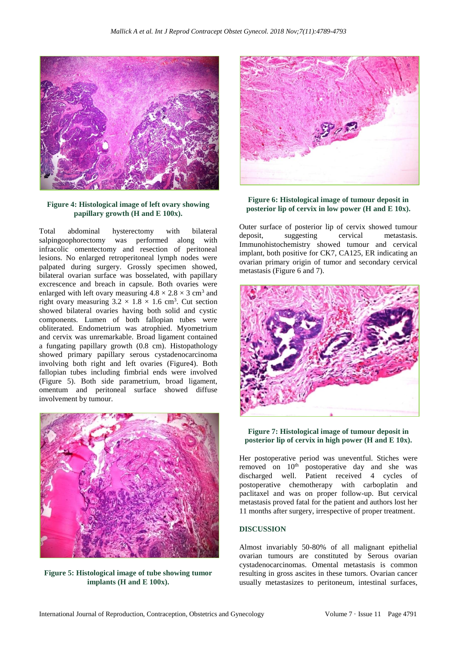

### **Figure 4: Histological image of left ovary showing papillary growth (H and E 100x).**

Total abdominal hysterectomy with bilateral salpingoophorectomy was performed along with infracolic omentectomy and resection of peritoneal lesions. No enlarged retroperitoneal lymph nodes were palpated during surgery. Grossly specimen showed, bilateral ovarian surface was bosselated, with papillary excrescence and breach in capsule. Both ovaries were enlarged with left ovary measuring  $4.8 \times 2.8 \times 3$  cm<sup>3</sup> and right ovary measuring  $3.2 \times 1.8 \times 1.6$  cm<sup>3</sup>. Cut section showed bilateral ovaries having both solid and cystic components. Lumen of both fallopian tubes were obliterated. Endometrium was atrophied. Myometrium and cervix was unremarkable. Broad ligament contained a fungating papillary growth (0.8 cm). Histopathology showed primary papillary serous cystadenocarcinoma involving both right and left ovaries (Figure4). Both fallopian tubes including fimbrial ends were involved (Figure 5). Both side parametrium, broad ligament, omentum and peritoneal surface showed diffuse involvement by tumour.



**Figure 5: Histological image of tube showing tumor implants (H and E 100x).**



#### **Figure 6: Histological image of tumour deposit in posterior lip of cervix in low power (H and E 10x).**

Outer surface of posterior lip of cervix showed tumour deposit, suggesting cervical metastasis. Immunohistochemistry showed tumour and cervical implant, both positive for CK7, CA125, ER indicating an ovarian primary origin of tumor and secondary cervical metastasis (Figure 6 and 7).



## **Figure 7: Histological image of tumour deposit in posterior lip of cervix in high power (H and E 10x).**

Her postoperative period was uneventful. Stiches were removed on  $10<sup>th</sup>$  postoperative day and she was discharged well. Patient received 4 cycles of postoperative chemotherapy with carboplatin and paclitaxel and was on proper follow-up. But cervical metastasis proved fatal for the patient and authors lost her 11 months after surgery, irrespective of proper treatment.

#### **DISCUSSION**

Almost invariably 50-80% of all malignant epithelial ovarian tumours are constituted by Serous ovarian cystadenocarcinomas. Omental metastasis is common resulting in gross ascites in these tumors. Ovarian cancer usually metastasizes to peritoneum, intestinal surfaces,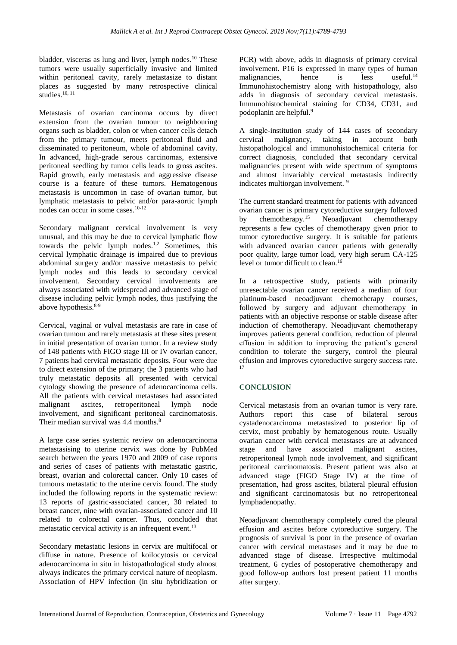bladder, visceras as lung and liver, lymph nodes.<sup>10</sup> These tumors were usually superficially invasive and limited within peritoneal cavity, rarely metastasize to distant places as suggested by many retrospective clinical studies. $10, 11$ 

Metastasis of ovarian carcinoma occurs by direct extension from the ovarian tumour to neighbouring organs such as bladder, colon or when cancer cells detach from the primary tumour, meets peritoneal fluid and disseminated to peritoneum, whole of abdominal cavity. In advanced, high-grade serous carcinomas, extensive peritoneal seedling by tumor cells leads to gross ascites. Rapid growth, early metastasis and aggressive disease course is a feature of these tumors. Hematogenous metastasis is uncommon in case of ovarian tumor, but lymphatic metastasis to pelvic and/or para-aortic lymph nodes can occur in some cases.10-12

Secondary malignant cervical involvement is very unusual, and this may be due to cervical lymphatic flow towards the pelvic lymph nodes. 1,2 Sometimes, this cervical lymphatic drainage is impaired due to previous abdominal surgery and/or massive metastasis to pelvic lymph nodes and this leads to secondary cervical involvement. Secondary cervical involvements are always associated with widespread and advanced stage of disease including pelvic lymph nodes, thus justifying the above hypothesis.8-9

Cervical, vaginal or vulval metastasis are rare in case of ovarian tumour and rarely metastasis at these sites present in initial presentation of ovarian tumor. In a review study of 148 patients with FIGO stage III or IV ovarian cancer, 7 patients had cervical metastatic deposits. Four were due to direct extension of the primary; the 3 patients who had truly metastatic deposits all presented with cervical cytology showing the presence of adenocarcinoma cells. All the patients with cervical metastases had associated malignant ascites, retroperitoneal lymph node involvement, and significant peritoneal carcinomatosis. Their median survival was 4.4 months.<sup>8</sup>

A large case series systemic review on adenocarcinoma metastasising to uterine cervix was done by PubMed search between the years 1970 and 2009 of case reports and series of cases of patients with metastatic gastric, breast, ovarian and colorectal cancer. Only 10 cases of tumours metastatic to the uterine cervix found. The study included the following reports in the systematic review: 13 reports of gastric-associated cancer, 30 related to breast cancer, nine with ovarian-associated cancer and 10 related to colorectal cancer. Thus, concluded that metastatic cervical activity is an infrequent event.<sup>13</sup>

Secondary metastatic lesions in cervix are multifocal or diffuse in nature. Presence of koilocytosis or cervical adenocarcinoma in situ in histopathological study almost always indicates the primary cervical nature of neoplasm. Association of HPV infection (in situ hybridization or PCR) with above, adds in diagnosis of primary cervical involvement. P16 is expressed in many types of human malignancies, hence is less useful.<sup>14</sup> Immunohistochemistry along with histopathology, also adds in diagnosis of secondary cervical metastasis. Immunohistochemical staining for CD34, CD31, and podoplanin are helpful.<sup>9</sup>

A single-institution study of 144 cases of secondary cervical malignancy, taking in account both histopathological and immunohistochemical criteria for correct diagnosis, concluded that secondary cervical malignancies present with wide spectrum of symptoms and almost invariably cervical metastasis indirectly indicates multiorgan involvement. <sup>9</sup>

The current standard treatment for patients with advanced ovarian cancer is primary cytoreductive surgery followed by chemotherapy.<sup>15</sup> Neoadjuvant chemotherapy represents a few cycles of chemotherapy given prior to tumor cytoreductive surgery. It is suitable for patients with advanced ovarian cancer patients with generally poor quality, large tumor load, very high serum CA-125 level or tumor difficult to clean.<sup>16</sup>

In a retrospective study, patients with primarily unresectable ovarian cancer received a median of four platinum-based neoadjuvant chemotherapy courses, followed by surgery and adjuvant chemotherapy in patients with an objective response or stable disease after induction of chemotherapy. Neoadjuvant chemotherapy improves patients general condition, reduction of pleural effusion in addition to improving the patient's general condition to tolerate the surgery, control the pleural effusion and improves cytoreductive surgery success rate. 17

# **CONCLUSION**

Cervical metastasis from an ovarian tumor is very rare. Authors report this case of bilateral serous cystadenocarcinoma metastasized to posterior lip of cervix, most probably by hematogenous route. Usually ovarian cancer with cervical metastases are at advanced stage and have associated malignant ascites, retroperitoneal lymph node involvement, and significant peritoneal carcinomatosis. Present patient was also at advanced stage (FIGO Stage IV) at the time of presentation, had gross ascites, bilateral pleural effusion and significant carcinomatosis but no retroperitoneal lymphadenopathy.

Neoadjuvant chemotherapy completely cured the pleural effusion and ascites before cytoreductive surgery. The prognosis of survival is poor in the presence of ovarian cancer with cervical metastases and it may be due to advanced stage of disease. Irrespective multimodal treatment, 6 cycles of postoperative chemotherapy and good follow-up authors lost present patient 11 months after surgery.